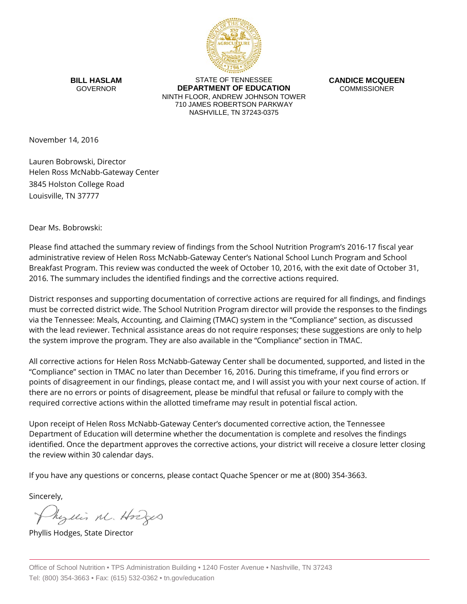

**BILL HASLAM** GOVERNOR

STATE OF TENNESSEE **DEPARTMENT OF EDUCATION** NINTH FLOOR, ANDREW JOHNSON TOWER 710 JAMES ROBERTSON PARKWAY NASHVILLE, TN 37243-0375

**CANDICE MCQUEEN** COMMISSIONER

November 14, 2016

Lauren Bobrowski, Director Helen Ross McNabb-Gateway Center 3845 Holston College Road Louisville, TN 37777

Dear Ms. Bobrowski:

Please find attached the summary review of findings from the School Nutrition Program's 2016-17 fiscal year administrative review of Helen Ross McNabb-Gateway Center's National School Lunch Program and School Breakfast Program. This review was conducted the week of October 10, 2016, with the exit date of October 31, 2016. The summary includes the identified findings and the corrective actions required.

District responses and supporting documentation of corrective actions are required for all findings, and findings must be corrected district wide. The School Nutrition Program director will provide the responses to the findings via the Tennessee: Meals, Accounting, and Claiming (TMAC) system in the "Compliance" section, as discussed with the lead reviewer. Technical assistance areas do not require responses; these suggestions are only to help the system improve the program. They are also available in the "Compliance" section in TMAC.

All corrective actions for Helen Ross McNabb-Gateway Center shall be documented, supported, and listed in the "Compliance" section in TMAC no later than December 16, 2016. During this timeframe, if you find errors or points of disagreement in our findings, please contact me, and I will assist you with your next course of action. If there are no errors or points of disagreement, please be mindful that refusal or failure to comply with the required corrective actions within the allotted timeframe may result in potential fiscal action.

Upon receipt of Helen Ross McNabb-Gateway Center's documented corrective action, the Tennessee Department of Education will determine whether the documentation is complete and resolves the findings identified. Once the department approves the corrective actions, your district will receive a closure letter closing the review within 30 calendar days.

If you have any questions or concerns, please contact Quache Spencer or me at (800) 354-3663.

Sincerely,

Myllis M. Hodges

Phyllis Hodges, State Director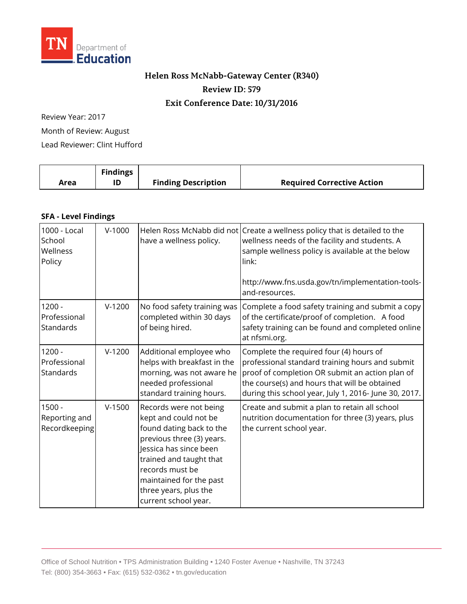

## **Helen Ross McNabb-Gateway Center (R340) Review ID: 579 Exit Conference Date: 10/31/2016**

Review Year: 2017 Month of Review: August Lead Reviewer: Clint Hufford

|      | <b>Findings</b> |                            |                                   |
|------|-----------------|----------------------------|-----------------------------------|
| Area |                 | <b>Finding Description</b> | <b>Required Corrective Action</b> |

## **SFA - Level Findings**

| 1000 - Local<br>School<br>Wellness<br>Policy | $V-1000$ | have a wellness policy.                                                                                                                                                                                                                                      | Helen Ross McNabb did not Create a wellness policy that is detailed to the<br>wellness needs of the facility and students. A<br>sample wellness policy is available at the below<br>link:<br>http://www.fns.usda.gov/tn/implementation-tools-<br>and-resources. |
|----------------------------------------------|----------|--------------------------------------------------------------------------------------------------------------------------------------------------------------------------------------------------------------------------------------------------------------|-----------------------------------------------------------------------------------------------------------------------------------------------------------------------------------------------------------------------------------------------------------------|
| $1200 -$<br>Professional<br>Standards        | $V-1200$ | No food safety training was<br>completed within 30 days<br>of being hired.                                                                                                                                                                                   | Complete a food safety training and submit a copy<br>of the certificate/proof of completion. A food<br>safety training can be found and completed online<br>at nfsmi.org.                                                                                       |
| $1200 -$<br>Professional<br>Standards        | $V-1200$ | Additional employee who<br>helps with breakfast in the<br>morning, was not aware he<br>needed professional<br>standard training hours.                                                                                                                       | Complete the required four (4) hours of<br>professional standard training hours and submit<br>proof of completion OR submit an action plan of<br>the course(s) and hours that will be obtained<br>during this school year, July 1, 2016- June 30, 2017.         |
| $1500 -$<br>Reporting and<br>Recordkeeping   | $V-1500$ | Records were not being<br>kept and could not be<br>found dating back to the<br>previous three (3) years.<br>Jessica has since been<br>trained and taught that<br>records must be<br>maintained for the past<br>three years, plus the<br>current school year. | Create and submit a plan to retain all school<br>nutrition documentation for three (3) years, plus<br>the current school year.                                                                                                                                  |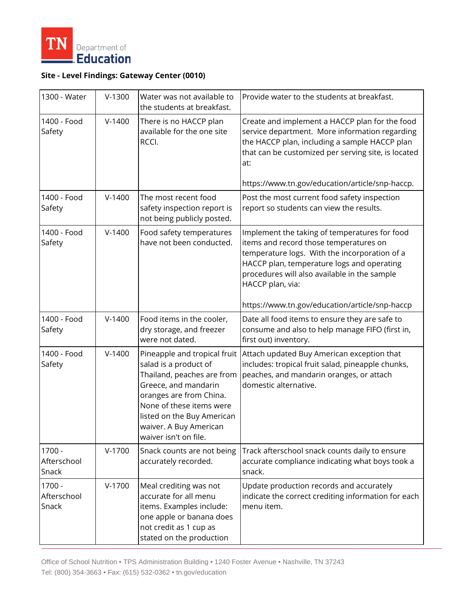

## **Site - Level Findings: Gateway Center (0010)**

| 1300 - Water                   | $V-1300$ | Water was not available to<br>the students at breakfast.                                                                                                                                                                                            | Provide water to the students at breakfast.                                                                                                                                                                                                                |
|--------------------------------|----------|-----------------------------------------------------------------------------------------------------------------------------------------------------------------------------------------------------------------------------------------------------|------------------------------------------------------------------------------------------------------------------------------------------------------------------------------------------------------------------------------------------------------------|
| 1400 - Food<br>Safety          | $V-1400$ | There is no HACCP plan<br>available for the one site<br>RCCI.                                                                                                                                                                                       | Create and implement a HACCP plan for the food<br>service department. More information regarding<br>the HACCP plan, including a sample HACCP plan<br>that can be customized per serving site, is located<br>at:                                            |
|                                |          |                                                                                                                                                                                                                                                     | https://www.tn.gov/education/article/snp-haccp.                                                                                                                                                                                                            |
| 1400 - Food<br>Safety          | $V-1400$ | The most recent food<br>safety inspection report is<br>not being publicly posted.                                                                                                                                                                   | Post the most current food safety inspection<br>report so students can view the results.                                                                                                                                                                   |
| 1400 - Food<br>Safety          | $V-1400$ | Food safety temperatures<br>have not been conducted.                                                                                                                                                                                                | Implement the taking of temperatures for food<br>items and record those temperatures on<br>temperature logs. With the incorporation of a<br>HACCP plan, temperature logs and operating<br>procedures will also available in the sample<br>HACCP plan, via: |
|                                |          |                                                                                                                                                                                                                                                     | https://www.tn.gov/education/article/snp-haccp                                                                                                                                                                                                             |
| 1400 - Food<br>Safety          | $V-1400$ | Food items in the cooler,<br>dry storage, and freezer<br>were not dated.                                                                                                                                                                            | Date all food items to ensure they are safe to<br>consume and also to help manage FIFO (first in,<br>first out) inventory.                                                                                                                                 |
| 1400 - Food<br>Safety          | $V-1400$ | Pineapple and tropical fruit<br>salad is a product of<br>Thailand, peaches are from<br>Greece, and mandarin<br>oranges are from China.<br>None of these items were<br>listed on the Buy American<br>waiver. A Buy American<br>waiver isn't on file. | Attach updated Buy American exception that<br>includes: tropical fruit salad, pineapple chunks,<br>peaches, and mandarin oranges, or attach<br>domestic alternative.                                                                                       |
| 1700 -<br>Afterschool<br>Snack | $V-1700$ | Snack counts are not being<br>accurately recorded.                                                                                                                                                                                                  | Track afterschool snack counts daily to ensure<br>accurate compliance indicating what boys took a<br>snack.                                                                                                                                                |
| 1700 -<br>Afterschool<br>Snack | $V-1700$ | Meal crediting was not<br>accurate for all menu<br>items. Examples include:<br>one apple or banana does<br>not credit as 1 cup as<br>stated on the production                                                                                       | Update production records and accurately<br>indicate the correct crediting information for each<br>menu item.                                                                                                                                              |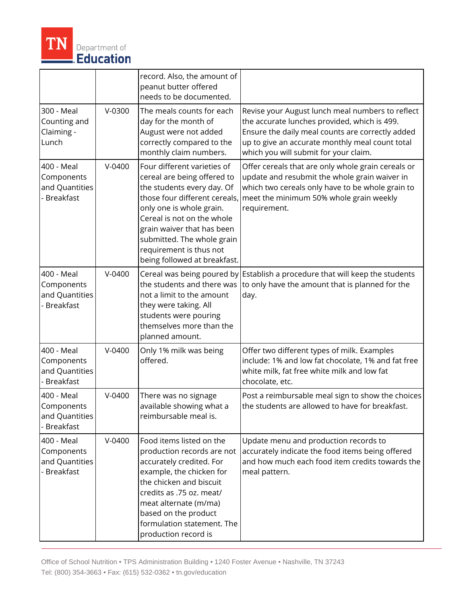

|                                                                |            | record. Also, the amount of<br>peanut butter offered<br>needs to be documented.                                                                                                                                                                                                                            |                                                                                                                                                                                                                                                  |
|----------------------------------------------------------------|------------|------------------------------------------------------------------------------------------------------------------------------------------------------------------------------------------------------------------------------------------------------------------------------------------------------------|--------------------------------------------------------------------------------------------------------------------------------------------------------------------------------------------------------------------------------------------------|
| 300 - Meal<br>Counting and<br>Claiming -<br>Lunch              | $V-0300$   | The meals counts for each<br>day for the month of<br>August were not added<br>correctly compared to the<br>monthly claim numbers.                                                                                                                                                                          | Revise your August lunch meal numbers to reflect<br>the accurate lunches provided, which is 499.<br>Ensure the daily meal counts are correctly added<br>up to give an accurate monthly meal count total<br>which you will submit for your claim. |
| 400 - Meal<br>Components<br>and Quantities<br><b>Breakfast</b> | $V-0400$   | Four different varieties of<br>cereal are being offered to<br>the students every day. Of<br>those four different cereals,<br>only one is whole grain.<br>Cereal is not on the whole<br>grain waiver that has been<br>submitted. The whole grain<br>requirement is thus not<br>being followed at breakfast. | Offer cereals that are only whole grain cereals or<br>update and resubmit the whole grain waiver in<br>which two cereals only have to be whole grain to<br>meet the minimum 50% whole grain weekly<br>requirement.                               |
| 400 - Meal<br>Components<br>and Quantities<br><b>Breakfast</b> | $V - 0400$ | Cereal was being poured by<br>the students and there was<br>not a limit to the amount<br>they were taking. All<br>students were pouring<br>themselves more than the<br>planned amount.                                                                                                                     | Establish a procedure that will keep the students<br>to only have the amount that is planned for the<br>day.                                                                                                                                     |
| 400 - Meal<br>Components<br>and Quantities<br>- Breakfast      | $V-0400$   | Only 1% milk was being<br>offered.                                                                                                                                                                                                                                                                         | Offer two different types of milk. Examples<br>include: 1% and low fat chocolate, 1% and fat free<br>white milk, fat free white milk and low fat<br>chocolate, etc.                                                                              |
| 400 - Meal<br>Components<br>and Quantities<br>- Breakfast      | $V-0400$   | There was no signage<br>available showing what a<br>reimbursable meal is.                                                                                                                                                                                                                                  | Post a reimbursable meal sign to show the choices<br>the students are allowed to have for breakfast.                                                                                                                                             |
| 400 - Meal<br>Components<br>and Quantities<br>- Breakfast      | $V-0400$   | Food items listed on the<br>production records are not<br>accurately credited. For<br>example, the chicken for<br>the chicken and biscuit<br>credits as .75 oz. meat/<br>meat alternate (m/ma)<br>based on the product<br>formulation statement. The<br>production record is                               | Update menu and production records to<br>accurately indicate the food items being offered<br>and how much each food item credits towards the<br>meal pattern.                                                                                    |